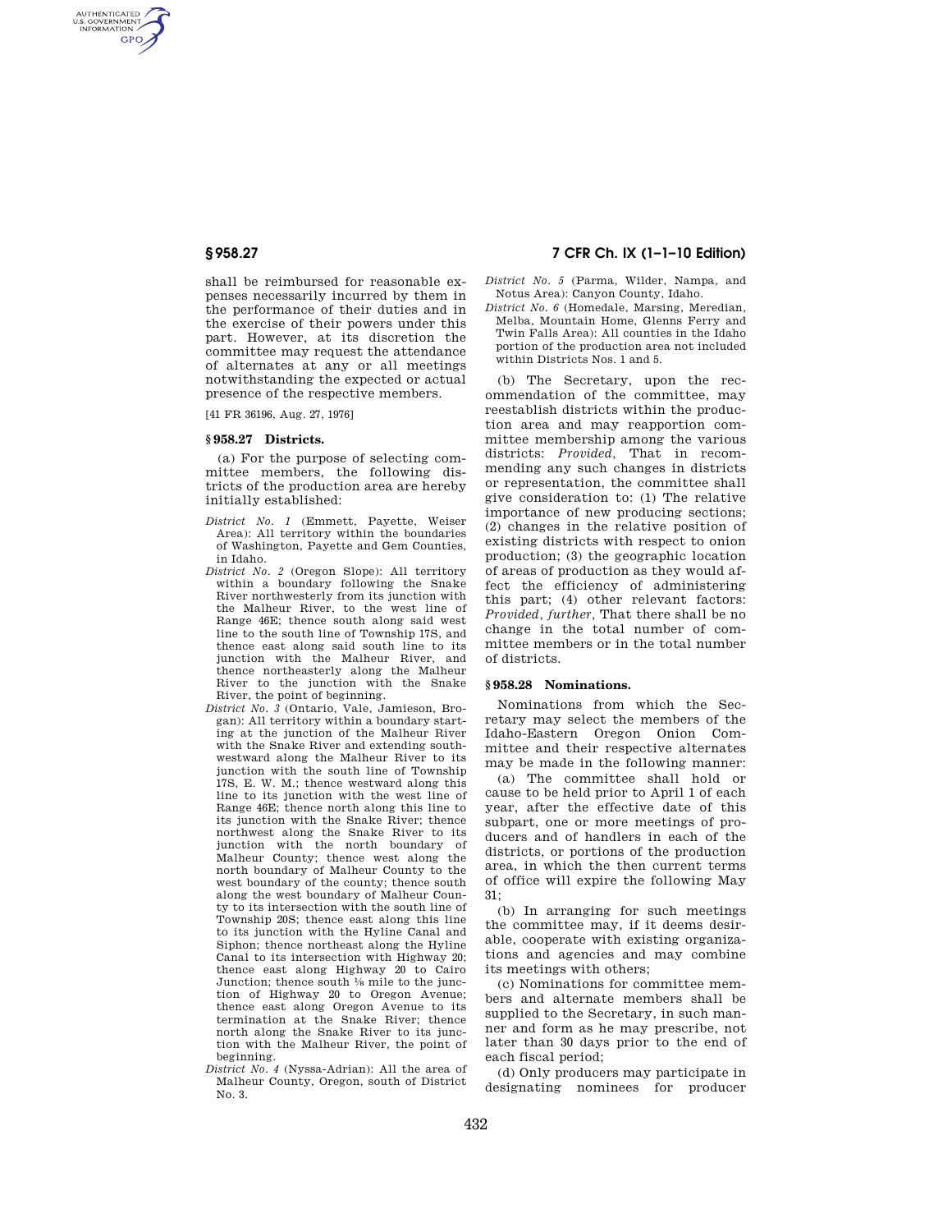AUTHENTICATED<br>U.S. GOVERNMENT<br>INFORMATION **GPO** 

> shall be reimbursed for reasonable expenses necessarily incurred by them in the performance of their duties and in the exercise of their powers under this part. However, at its discretion the committee may request the attendance of alternates at any or all meetings notwithstanding the expected or actual presence of the respective members.

[41 FR 36196, Aug. 27, 1976]

## **§ 958.27 Districts.**

(a) For the purpose of selecting committee members, the following districts of the production area are hereby initially established:

- *District No. 1* (Emmett, Payette, Weiser Area): All territory within the boundaries of Washington, Payette and Gem Counties, in Idaho.
- *District No. 2* (Oregon Slope): All territory within a boundary following the Snake River northwesterly from its junction with the Malheur River, to the west line of Range 46E; thence south along said west line to the south line of Township 17S, and thence east along said south line to its junction with the Malheur River, and thence northeasterly along the Malheur River to the junction with the Snake River, the point of beginning.
- *District No. 3* (Ontario, Vale, Jamieson, Brogan): All territory within a boundary starting at the junction of the Malheur River with the Snake River and extending southwestward along the Malheur River to its junction with the south line of Township 17S, E. W. M.; thence westward along this line to its junction with the west line of Range 46E; thence north along this line to its junction with the Snake River; thence northwest along the Snake River to its junction with the north boundary of Malheur County; thence west along the north boundary of Malheur County to the west boundary of the county; thence south along the west boundary of Malheur County to its intersection with the south line of Township 20S; thence east along this line to its junction with the Hyline Canal and Siphon; thence northeast along the Hyline Canal to its intersection with Highway 20; thence east along Highway 20 to Cairo Junction; thence south 1⁄8 mile to the junction of Highway 20 to Oregon Avenue; thence east along Oregon Avenue to its termination at the Snake River; thence north along the Snake River to its junction with the Malheur River, the point of beginning.
- *District No. 4* (Nyssa-Adrian): All the area of Malheur County, Oregon, south of District No. 3.

# **§ 958.27 7 CFR Ch. IX (1–1–10 Edition)**

- *District No. 5* (Parma, Wilder, Nampa, and Notus Area): Canyon County, Idaho.
- *District No. 6* (Homedale, Marsing, Meredian, Melba, Mountain Home, Glenns Ferry and Twin Falls Area): All counties in the Idaho portion of the production area not included within Districts Nos. 1 and 5.

(b) The Secretary, upon the recommendation of the committee, may reestablish districts within the production area and may reapportion committee membership among the various districts: *Provided,* That in recommending any such changes in districts or representation, the committee shall give consideration to: (1) The relative importance of new producing sections; (2) changes in the relative position of existing districts with respect to onion production; (3) the geographic location of areas of production as they would affect the efficiency of administering this part; (4) other relevant factors: *Provided, further,* That there shall be no change in the total number of committee members or in the total number of districts.

## **§ 958.28 Nominations.**

Nominations from which the Secretary may select the members of the Idaho-Eastern Oregon Onion Committee and their respective alternates may be made in the following manner:

(a) The committee shall hold or cause to be held prior to April 1 of each year, after the effective date of this subpart, one or more meetings of producers and of handlers in each of the districts, or portions of the production area, in which the then current terms of office will expire the following May 31;

(b) In arranging for such meetings the committee may, if it deems desirable, cooperate with existing organizations and agencies and may combine its meetings with others;

(c) Nominations for committee members and alternate members shall be supplied to the Secretary, in such manner and form as he may prescribe, not later than 30 days prior to the end of each fiscal period;

(d) Only producers may participate in designating nominees for producer